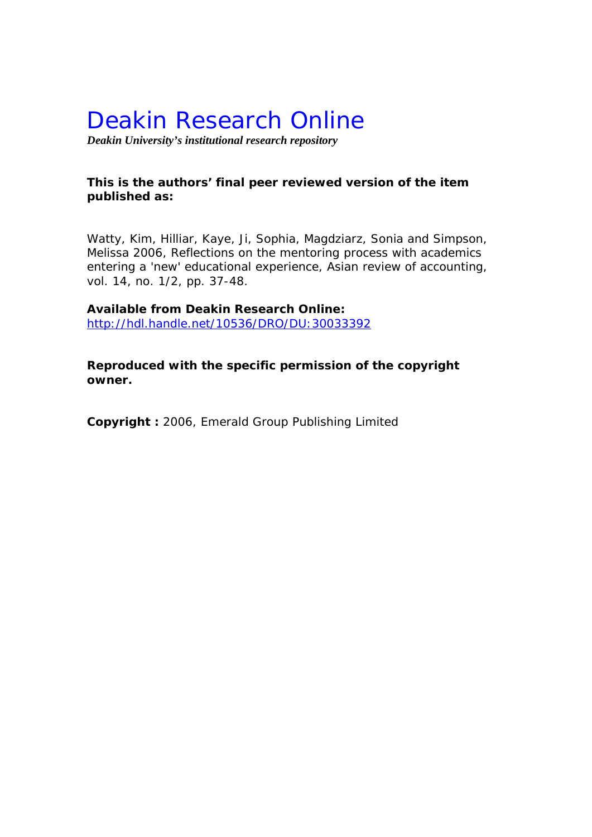# Deakin Research Online

*Deakin University's institutional research repository* 

# **This is the authors' final peer reviewed version of the item published as:**

Watty, Kim, Hilliar, Kaye, Ji, Sophia, Magdziarz, Sonia and Simpson, Melissa 2006, Reflections on the mentoring process with academics entering a 'new' educational experience*, Asian review of accounting*, vol. 14, no. 1/2, pp. 37-48.

**Available from Deakin Research Online:** http://hdl.handle.net/10536/DRO/DU:30033392

**Reproduced with the specific permission of the copyright owner.** 

**Copyright :** 2006, Emerald Group Publishing Limited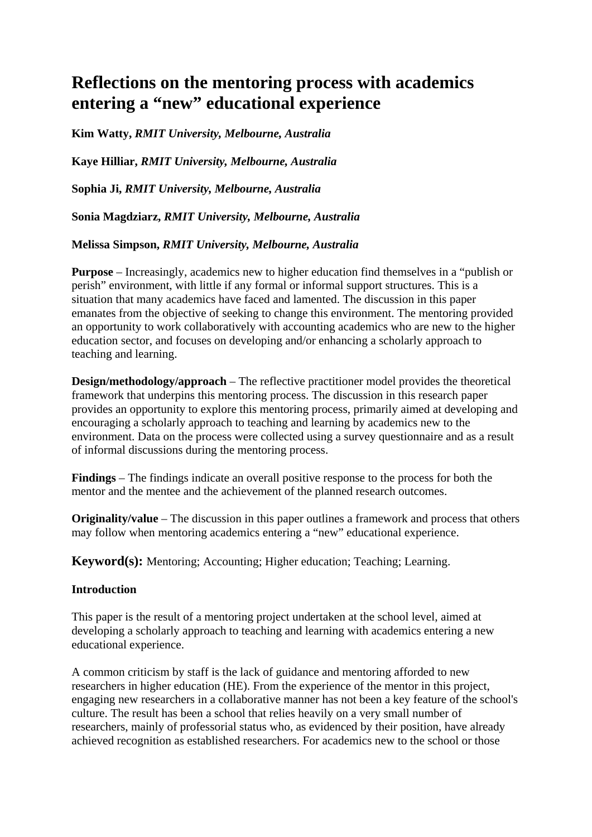# **Reflections on the mentoring process with academics entering a "new" educational experience**

**Kim Watty,** *RMIT University, Melbourne, Australia*

**Kaye Hilliar,** *RMIT University, Melbourne, Australia*

**Sophia Ji,** *RMIT University, Melbourne, Australia*

**Sonia Magdziarz,** *RMIT University, Melbourne, Australia*

# **Melissa Simpson,** *RMIT University, Melbourne, Australia*

**Purpose** – Increasingly, academics new to higher education find themselves in a "publish or perish" environment, with little if any formal or informal support structures. This is a situation that many academics have faced and lamented. The discussion in this paper emanates from the objective of seeking to change this environment. The mentoring provided an opportunity to work collaboratively with accounting academics who are new to the higher education sector, and focuses on developing and/or enhancing a scholarly approach to teaching and learning.

**Design/methodology/approach** – The reflective practitioner model provides the theoretical framework that underpins this mentoring process. The discussion in this research paper provides an opportunity to explore this mentoring process, primarily aimed at developing and encouraging a scholarly approach to teaching and learning by academics new to the environment. Data on the process were collected using a survey questionnaire and as a result of informal discussions during the mentoring process.

**Findings** – The findings indicate an overall positive response to the process for both the mentor and the mentee and the achievement of the planned research outcomes.

**Originality/value** – The discussion in this paper outlines a framework and process that others may follow when mentoring academics entering a "new" educational experience.

**Keyword(s):** Mentoring; Accounting; Higher education; Teaching; Learning.

# **Introduction**

This paper is the result of a mentoring project undertaken at the school level, aimed at developing a scholarly approach to teaching and learning with academics entering a new educational experience.

A common criticism by staff is the lack of guidance and mentoring afforded to new researchers in higher education (HE). From the experience of the mentor in this project, engaging new researchers in a collaborative manner has not been a key feature of the school's culture. The result has been a school that relies heavily on a very small number of researchers, mainly of professorial status who, as evidenced by their position, have already achieved recognition as established researchers. For academics new to the school or those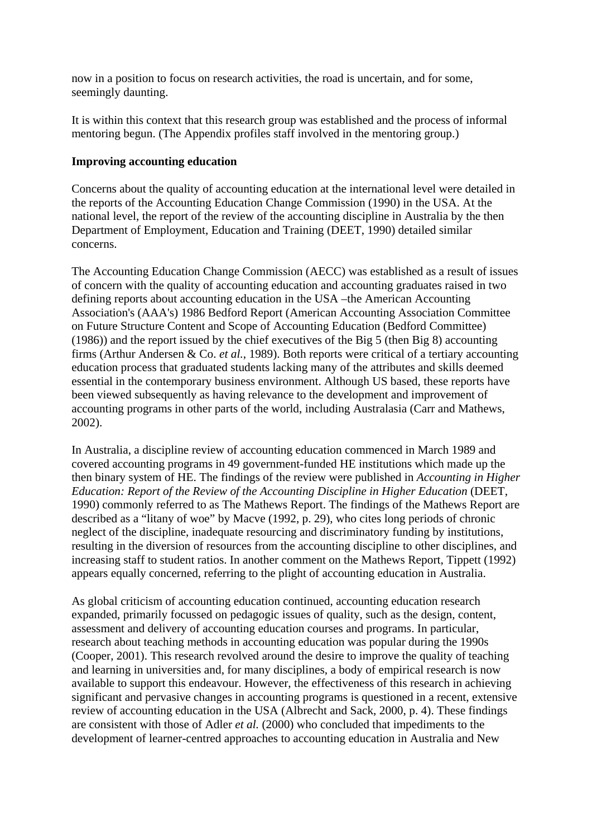now in a position to focus on research activities, the road is uncertain, and for some, seemingly daunting.

It is within this context that this research group was established and the process of informal mentoring begun. (The Appendix profiles staff involved in the mentoring group.)

# **Improving accounting education**

Concerns about the quality of accounting education at the international level were detailed in the reports of the Accounting Education Change Commission (1990) in the USA. At the national level, the report of the review of the accounting discipline in Australia by the then Department of Employment, Education and Training (DEET, 1990) detailed similar concerns.

The Accounting Education Change Commission (AECC) was established as a result of issues of concern with the quality of accounting education and accounting graduates raised in two defining reports about accounting education in the USA –the American Accounting Association's (AAA's) 1986 Bedford Report (American Accounting Association Committee on Future Structure Content and Scope of Accounting Education (Bedford Committee) (1986)) and the report issued by the chief executives of the Big 5 (then Big 8) accounting firms (Arthur Andersen & Co. *et al.*, 1989). Both reports were critical of a tertiary accounting education process that graduated students lacking many of the attributes and skills deemed essential in the contemporary business environment. Although US based, these reports have been viewed subsequently as having relevance to the development and improvement of accounting programs in other parts of the world, including Australasia (Carr and Mathews, 2002).

In Australia, a discipline review of accounting education commenced in March 1989 and covered accounting programs in 49 government-funded HE institutions which made up the then binary system of HE. The findings of the review were published in *Accounting in Higher Education: Report of the Review of the Accounting Discipline in Higher Education* (DEET, 1990) commonly referred to as The Mathews Report. The findings of the Mathews Report are described as a "litany of woe" by Macve (1992, p. 29), who cites long periods of chronic neglect of the discipline, inadequate resourcing and discriminatory funding by institutions, resulting in the diversion of resources from the accounting discipline to other disciplines, and increasing staff to student ratios. In another comment on the Mathews Report, Tippett (1992) appears equally concerned, referring to the plight of accounting education in Australia.

As global criticism of accounting education continued, accounting education research expanded, primarily focussed on pedagogic issues of quality, such as the design, content, assessment and delivery of accounting education courses and programs. In particular, research about teaching methods in accounting education was popular during the 1990s (Cooper, 2001). This research revolved around the desire to improve the quality of teaching and learning in universities and, for many disciplines, a body of empirical research is now available to support this endeavour. However, the effectiveness of this research in achieving significant and pervasive changes in accounting programs is questioned in a recent, extensive review of accounting education in the USA (Albrecht and Sack, 2000, p. 4). These findings are consistent with those of Adler *et al.* (2000) who concluded that impediments to the development of learner-centred approaches to accounting education in Australia and New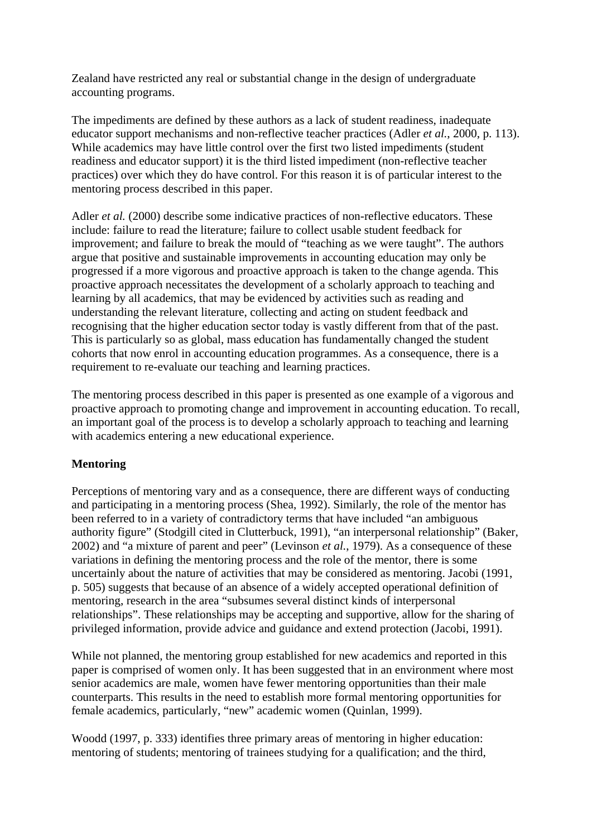Zealand have restricted any real or substantial change in the design of undergraduate accounting programs.

The impediments are defined by these authors as a lack of student readiness, inadequate educator support mechanisms and non-reflective teacher practices (Adler *et al.*, 2000, p. 113). While academics may have little control over the first two listed impediments (student readiness and educator support) it is the third listed impediment (non-reflective teacher practices) over which they do have control. For this reason it is of particular interest to the mentoring process described in this paper.

Adler *et al.* (2000) describe some indicative practices of non-reflective educators. These include: failure to read the literature; failure to collect usable student feedback for improvement; and failure to break the mould of "teaching as we were taught". The authors argue that positive and sustainable improvements in accounting education may only be progressed if a more vigorous and proactive approach is taken to the change agenda. This proactive approach necessitates the development of a scholarly approach to teaching and learning by all academics, that may be evidenced by activities such as reading and understanding the relevant literature, collecting and acting on student feedback and recognising that the higher education sector today is vastly different from that of the past. This is particularly so as global, mass education has fundamentally changed the student cohorts that now enrol in accounting education programmes. As a consequence, there is a requirement to re-evaluate our teaching and learning practices.

The mentoring process described in this paper is presented as one example of a vigorous and proactive approach to promoting change and improvement in accounting education. To recall, an important goal of the process is to develop a scholarly approach to teaching and learning with academics entering a new educational experience.

# **Mentoring**

Perceptions of mentoring vary and as a consequence, there are different ways of conducting and participating in a mentoring process (Shea, 1992). Similarly, the role of the mentor has been referred to in a variety of contradictory terms that have included "an ambiguous authority figure" (Stodgill cited in Clutterbuck, 1991), "an interpersonal relationship" (Baker, 2002) and "a mixture of parent and peer" (Levinson *et al.*, 1979). As a consequence of these variations in defining the mentoring process and the role of the mentor, there is some uncertainly about the nature of activities that may be considered as mentoring. Jacobi (1991, p. 505) suggests that because of an absence of a widely accepted operational definition of mentoring, research in the area "subsumes several distinct kinds of interpersonal relationships". These relationships may be accepting and supportive, allow for the sharing of privileged information, provide advice and guidance and extend protection (Jacobi, 1991).

While not planned, the mentoring group established for new academics and reported in this paper is comprised of women only. It has been suggested that in an environment where most senior academics are male, women have fewer mentoring opportunities than their male counterparts. This results in the need to establish more formal mentoring opportunities for female academics, particularly, "new" academic women (Quinlan, 1999).

Woodd (1997, p. 333) identifies three primary areas of mentoring in higher education: mentoring of students; mentoring of trainees studying for a qualification; and the third,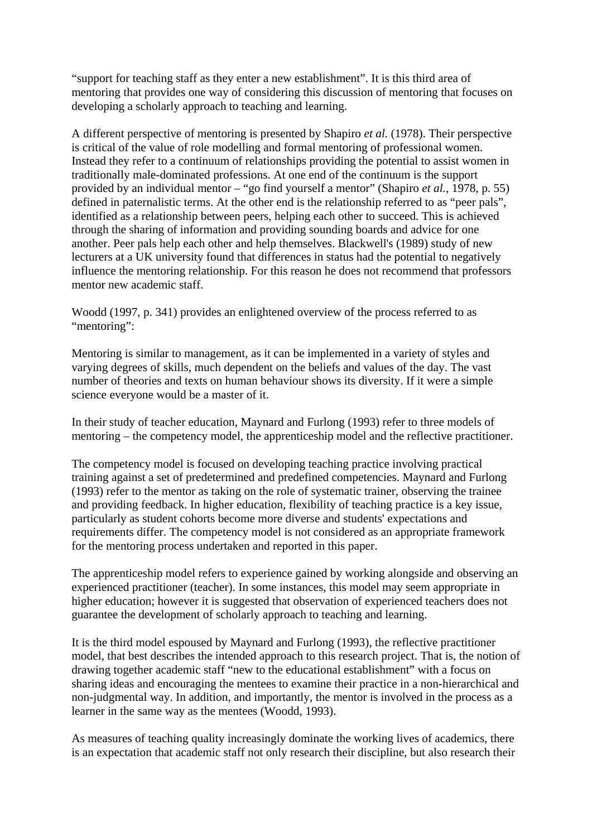"support for teaching staff as they enter a new establishment". It is this third area of mentoring that provides one way of considering this discussion of mentoring that focuses on developing a scholarly approach to teaching and learning.

A different perspective of mentoring is presented by Shapiro *et al.* (1978). Their perspective is critical of the value of role modelling and formal mentoring of professional women. Instead they refer to a continuum of relationships providing the potential to assist women in traditionally male-dominated professions. At one end of the continuum is the support provided by an individual mentor – "go find yourself a mentor" (Shapiro *et al.*, 1978, p. 55) defined in paternalistic terms. At the other end is the relationship referred to as "peer pals", identified as a relationship between peers, helping each other to succeed. This is achieved through the sharing of information and providing sounding boards and advice for one another. Peer pals help each other and help themselves. Blackwell's (1989) study of new lecturers at a UK university found that differences in status had the potential to negatively influence the mentoring relationship. For this reason he does not recommend that professors mentor new academic staff.

Woodd (1997, p. 341) provides an enlightened overview of the process referred to as "mentoring":

Mentoring is similar to management, as it can be implemented in a variety of styles and varying degrees of skills, much dependent on the beliefs and values of the day. The vast number of theories and texts on human behaviour shows its diversity. If it were a simple science everyone would be a master of it.

In their study of teacher education, Maynard and Furlong (1993) refer to three models of mentoring – the competency model, the apprenticeship model and the reflective practitioner.

The competency model is focused on developing teaching practice involving practical training against a set of predetermined and predefined competencies. Maynard and Furlong (1993) refer to the mentor as taking on the role of systematic trainer, observing the trainee and providing feedback. In higher education, flexibility of teaching practice is a key issue, particularly as student cohorts become more diverse and students' expectations and requirements differ. The competency model is not considered as an appropriate framework for the mentoring process undertaken and reported in this paper.

The apprenticeship model refers to experience gained by working alongside and observing an experienced practitioner (teacher). In some instances, this model may seem appropriate in higher education; however it is suggested that observation of experienced teachers does not guarantee the development of scholarly approach to teaching and learning.

It is the third model espoused by Maynard and Furlong (1993), the reflective practitioner model, that best describes the intended approach to this research project. That is, the notion of drawing together academic staff "new to the educational establishment" with a focus on sharing ideas and encouraging the mentees to examine their practice in a non-hierarchical and non-judgmental way. In addition, and importantly, the mentor is involved in the process as a learner in the same way as the mentees (Woodd, 1993).

As measures of teaching quality increasingly dominate the working lives of academics, there is an expectation that academic staff not only research their discipline, but also research their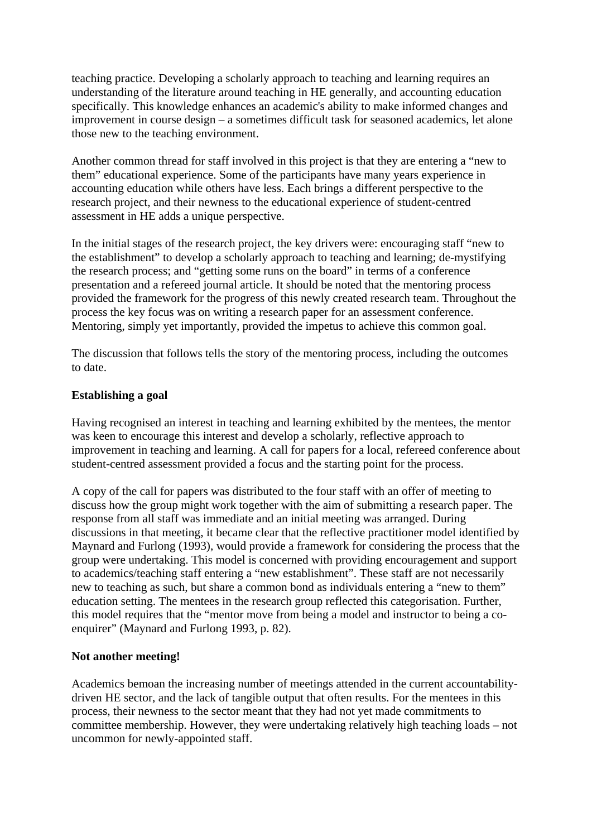teaching practice. Developing a scholarly approach to teaching and learning requires an understanding of the literature around teaching in HE generally, and accounting education specifically. This knowledge enhances an academic's ability to make informed changes and improvement in course design – a sometimes difficult task for seasoned academics, let alone those new to the teaching environment.

Another common thread for staff involved in this project is that they are entering a "new to them" educational experience. Some of the participants have many years experience in accounting education while others have less. Each brings a different perspective to the research project, and their newness to the educational experience of student-centred assessment in HE adds a unique perspective.

In the initial stages of the research project, the key drivers were: encouraging staff "new to the establishment" to develop a scholarly approach to teaching and learning; de-mystifying the research process; and "getting some runs on the board" in terms of a conference presentation and a refereed journal article. It should be noted that the mentoring process provided the framework for the progress of this newly created research team. Throughout the process the key focus was on writing a research paper for an assessment conference. Mentoring, simply yet importantly, provided the impetus to achieve this common goal.

The discussion that follows tells the story of the mentoring process, including the outcomes to date.

# **Establishing a goal**

Having recognised an interest in teaching and learning exhibited by the mentees, the mentor was keen to encourage this interest and develop a scholarly, reflective approach to improvement in teaching and learning. A call for papers for a local, refereed conference about student-centred assessment provided a focus and the starting point for the process.

A copy of the call for papers was distributed to the four staff with an offer of meeting to discuss how the group might work together with the aim of submitting a research paper. The response from all staff was immediate and an initial meeting was arranged. During discussions in that meeting, it became clear that the reflective practitioner model identified by Maynard and Furlong (1993), would provide a framework for considering the process that the group were undertaking. This model is concerned with providing encouragement and support to academics/teaching staff entering a "new establishment". These staff are not necessarily new to teaching as such, but share a common bond as individuals entering a "new to them" education setting. The mentees in the research group reflected this categorisation. Further, this model requires that the "mentor move from being a model and instructor to being a coenquirer" (Maynard and Furlong 1993, p. 82).

# **Not another meeting!**

Academics bemoan the increasing number of meetings attended in the current accountabilitydriven HE sector, and the lack of tangible output that often results. For the mentees in this process, their newness to the sector meant that they had not yet made commitments to committee membership. However, they were undertaking relatively high teaching loads – not uncommon for newly-appointed staff.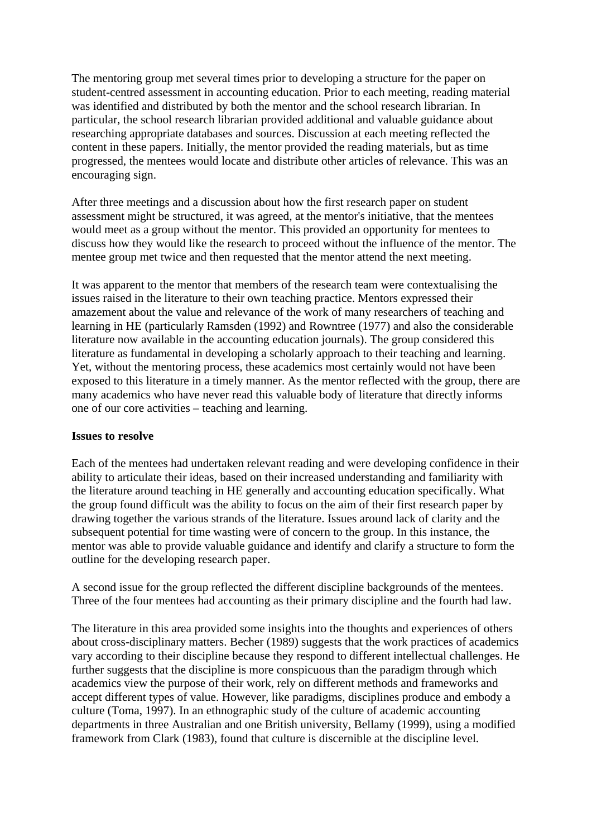The mentoring group met several times prior to developing a structure for the paper on student-centred assessment in accounting education. Prior to each meeting, reading material was identified and distributed by both the mentor and the school research librarian. In particular, the school research librarian provided additional and valuable guidance about researching appropriate databases and sources. Discussion at each meeting reflected the content in these papers. Initially, the mentor provided the reading materials, but as time progressed, the mentees would locate and distribute other articles of relevance. This was an encouraging sign.

After three meetings and a discussion about how the first research paper on student assessment might be structured, it was agreed, at the mentor's initiative, that the mentees would meet as a group without the mentor. This provided an opportunity for mentees to discuss how they would like the research to proceed without the influence of the mentor. The mentee group met twice and then requested that the mentor attend the next meeting.

It was apparent to the mentor that members of the research team were contextualising the issues raised in the literature to their own teaching practice. Mentors expressed their amazement about the value and relevance of the work of many researchers of teaching and learning in HE (particularly Ramsden (1992) and Rowntree (1977) and also the considerable literature now available in the accounting education journals). The group considered this literature as fundamental in developing a scholarly approach to their teaching and learning. Yet, without the mentoring process, these academics most certainly would not have been exposed to this literature in a timely manner. As the mentor reflected with the group, there are many academics who have never read this valuable body of literature that directly informs one of our core activities – teaching and learning.

#### **Issues to resolve**

Each of the mentees had undertaken relevant reading and were developing confidence in their ability to articulate their ideas, based on their increased understanding and familiarity with the literature around teaching in HE generally and accounting education specifically. What the group found difficult was the ability to focus on the aim of their first research paper by drawing together the various strands of the literature. Issues around lack of clarity and the subsequent potential for time wasting were of concern to the group. In this instance, the mentor was able to provide valuable guidance and identify and clarify a structure to form the outline for the developing research paper.

A second issue for the group reflected the different discipline backgrounds of the mentees. Three of the four mentees had accounting as their primary discipline and the fourth had law.

The literature in this area provided some insights into the thoughts and experiences of others about cross-disciplinary matters. Becher (1989) suggests that the work practices of academics vary according to their discipline because they respond to different intellectual challenges. He further suggests that the discipline is more conspicuous than the paradigm through which academics view the purpose of their work, rely on different methods and frameworks and accept different types of value. However, like paradigms, disciplines produce and embody a culture (Toma, 1997). In an ethnographic study of the culture of academic accounting departments in three Australian and one British university, Bellamy (1999), using a modified framework from Clark (1983), found that culture is discernible at the discipline level.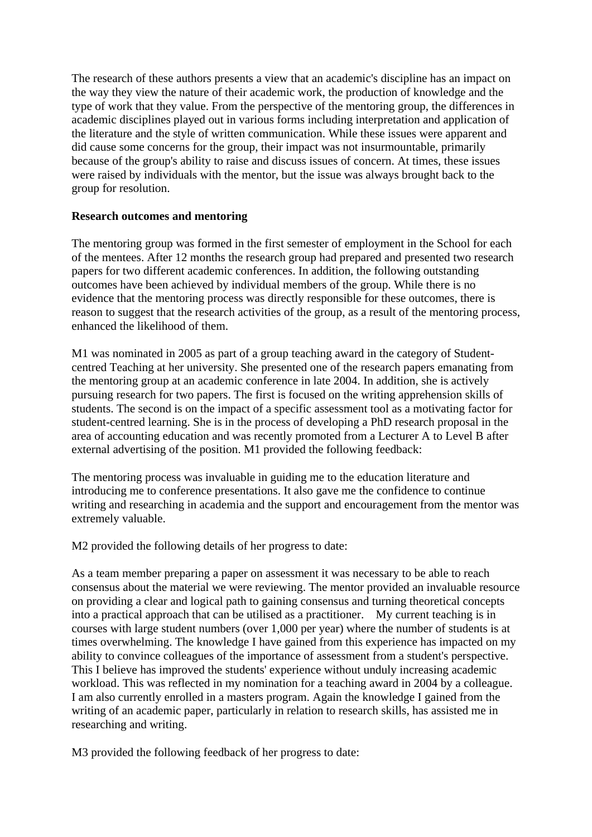The research of these authors presents a view that an academic's discipline has an impact on the way they view the nature of their academic work, the production of knowledge and the type of work that they value. From the perspective of the mentoring group, the differences in academic disciplines played out in various forms including interpretation and application of the literature and the style of written communication. While these issues were apparent and did cause some concerns for the group, their impact was not insurmountable, primarily because of the group's ability to raise and discuss issues of concern. At times, these issues were raised by individuals with the mentor, but the issue was always brought back to the group for resolution.

# **Research outcomes and mentoring**

The mentoring group was formed in the first semester of employment in the School for each of the mentees. After 12 months the research group had prepared and presented two research papers for two different academic conferences. In addition, the following outstanding outcomes have been achieved by individual members of the group. While there is no evidence that the mentoring process was directly responsible for these outcomes, there is reason to suggest that the research activities of the group, as a result of the mentoring process, enhanced the likelihood of them.

M1 was nominated in 2005 as part of a group teaching award in the category of Studentcentred Teaching at her university. She presented one of the research papers emanating from the mentoring group at an academic conference in late 2004. In addition, she is actively pursuing research for two papers. The first is focused on the writing apprehension skills of students. The second is on the impact of a specific assessment tool as a motivating factor for student-centred learning. She is in the process of developing a PhD research proposal in the area of accounting education and was recently promoted from a Lecturer A to Level B after external advertising of the position. M1 provided the following feedback:

The mentoring process was invaluable in guiding me to the education literature and introducing me to conference presentations. It also gave me the confidence to continue writing and researching in academia and the support and encouragement from the mentor was extremely valuable.

M2 provided the following details of her progress to date:

As a team member preparing a paper on assessment it was necessary to be able to reach consensus about the material we were reviewing. The mentor provided an invaluable resource on providing a clear and logical path to gaining consensus and turning theoretical concepts into a practical approach that can be utilised as a practitioner. My current teaching is in courses with large student numbers (over 1,000 per year) where the number of students is at times overwhelming. The knowledge I have gained from this experience has impacted on my ability to convince colleagues of the importance of assessment from a student's perspective. This I believe has improved the students' experience without unduly increasing academic workload. This was reflected in my nomination for a teaching award in 2004 by a colleague. I am also currently enrolled in a masters program. Again the knowledge I gained from the writing of an academic paper, particularly in relation to research skills, has assisted me in researching and writing.

M3 provided the following feedback of her progress to date: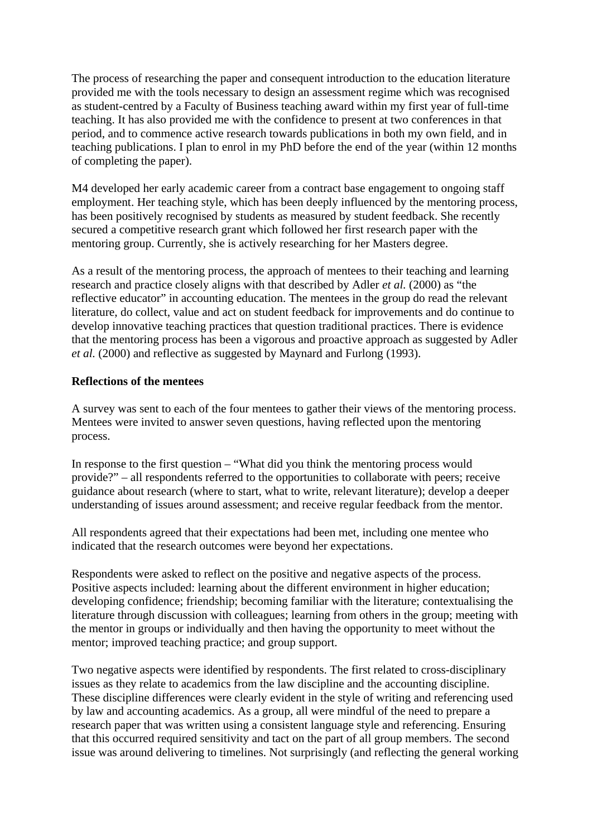The process of researching the paper and consequent introduction to the education literature provided me with the tools necessary to design an assessment regime which was recognised as student-centred by a Faculty of Business teaching award within my first year of full-time teaching. It has also provided me with the confidence to present at two conferences in that period, and to commence active research towards publications in both my own field, and in teaching publications. I plan to enrol in my PhD before the end of the year (within 12 months of completing the paper).

M4 developed her early academic career from a contract base engagement to ongoing staff employment. Her teaching style, which has been deeply influenced by the mentoring process, has been positively recognised by students as measured by student feedback. She recently secured a competitive research grant which followed her first research paper with the mentoring group. Currently, she is actively researching for her Masters degree.

As a result of the mentoring process, the approach of mentees to their teaching and learning research and practice closely aligns with that described by Adler *et al.* (2000) as "the reflective educator" in accounting education. The mentees in the group do read the relevant literature, do collect, value and act on student feedback for improvements and do continue to develop innovative teaching practices that question traditional practices. There is evidence that the mentoring process has been a vigorous and proactive approach as suggested by Adler *et al.* (2000) and reflective as suggested by Maynard and Furlong (1993).

# **Reflections of the mentees**

A survey was sent to each of the four mentees to gather their views of the mentoring process. Mentees were invited to answer seven questions, having reflected upon the mentoring process.

In response to the first question – "What did you think the mentoring process would provide?" – all respondents referred to the opportunities to collaborate with peers; receive guidance about research (where to start, what to write, relevant literature); develop a deeper understanding of issues around assessment; and receive regular feedback from the mentor.

All respondents agreed that their expectations had been met, including one mentee who indicated that the research outcomes were beyond her expectations.

Respondents were asked to reflect on the positive and negative aspects of the process. Positive aspects included: learning about the different environment in higher education; developing confidence; friendship; becoming familiar with the literature; contextualising the literature through discussion with colleagues; learning from others in the group; meeting with the mentor in groups or individually and then having the opportunity to meet without the mentor; improved teaching practice; and group support.

Two negative aspects were identified by respondents. The first related to cross-disciplinary issues as they relate to academics from the law discipline and the accounting discipline. These discipline differences were clearly evident in the style of writing and referencing used by law and accounting academics. As a group, all were mindful of the need to prepare a research paper that was written using a consistent language style and referencing. Ensuring that this occurred required sensitivity and tact on the part of all group members. The second issue was around delivering to timelines. Not surprisingly (and reflecting the general working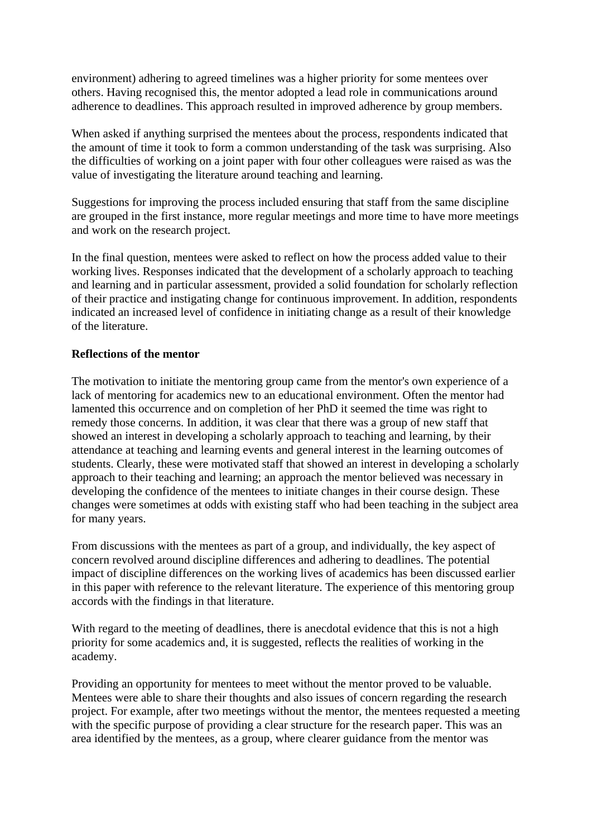environment) adhering to agreed timelines was a higher priority for some mentees over others. Having recognised this, the mentor adopted a lead role in communications around adherence to deadlines. This approach resulted in improved adherence by group members.

When asked if anything surprised the mentees about the process, respondents indicated that the amount of time it took to form a common understanding of the task was surprising. Also the difficulties of working on a joint paper with four other colleagues were raised as was the value of investigating the literature around teaching and learning.

Suggestions for improving the process included ensuring that staff from the same discipline are grouped in the first instance, more regular meetings and more time to have more meetings and work on the research project.

In the final question, mentees were asked to reflect on how the process added value to their working lives. Responses indicated that the development of a scholarly approach to teaching and learning and in particular assessment, provided a solid foundation for scholarly reflection of their practice and instigating change for continuous improvement. In addition, respondents indicated an increased level of confidence in initiating change as a result of their knowledge of the literature.

# **Reflections of the mentor**

The motivation to initiate the mentoring group came from the mentor's own experience of a lack of mentoring for academics new to an educational environment. Often the mentor had lamented this occurrence and on completion of her PhD it seemed the time was right to remedy those concerns. In addition, it was clear that there was a group of new staff that showed an interest in developing a scholarly approach to teaching and learning, by their attendance at teaching and learning events and general interest in the learning outcomes of students. Clearly, these were motivated staff that showed an interest in developing a scholarly approach to their teaching and learning; an approach the mentor believed was necessary in developing the confidence of the mentees to initiate changes in their course design. These changes were sometimes at odds with existing staff who had been teaching in the subject area for many years.

From discussions with the mentees as part of a group, and individually, the key aspect of concern revolved around discipline differences and adhering to deadlines. The potential impact of discipline differences on the working lives of academics has been discussed earlier in this paper with reference to the relevant literature. The experience of this mentoring group accords with the findings in that literature.

With regard to the meeting of deadlines, there is anecdotal evidence that this is not a high priority for some academics and, it is suggested, reflects the realities of working in the academy.

Providing an opportunity for mentees to meet without the mentor proved to be valuable. Mentees were able to share their thoughts and also issues of concern regarding the research project. For example, after two meetings without the mentor, the mentees requested a meeting with the specific purpose of providing a clear structure for the research paper. This was an area identified by the mentees, as a group, where clearer guidance from the mentor was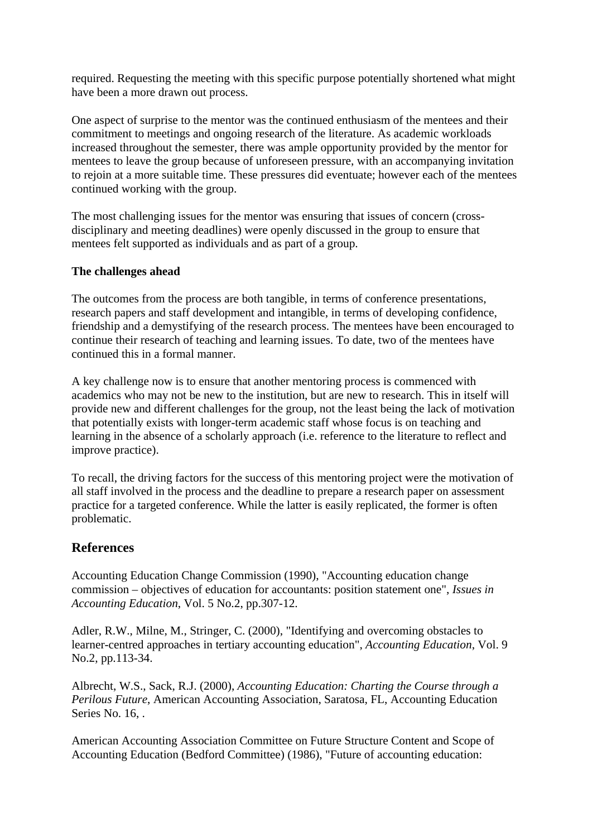required. Requesting the meeting with this specific purpose potentially shortened what might have been a more drawn out process.

One aspect of surprise to the mentor was the continued enthusiasm of the mentees and their commitment to meetings and ongoing research of the literature. As academic workloads increased throughout the semester, there was ample opportunity provided by the mentor for mentees to leave the group because of unforeseen pressure, with an accompanying invitation to rejoin at a more suitable time. These pressures did eventuate; however each of the mentees continued working with the group.

The most challenging issues for the mentor was ensuring that issues of concern (crossdisciplinary and meeting deadlines) were openly discussed in the group to ensure that mentees felt supported as individuals and as part of a group.

# **The challenges ahead**

The outcomes from the process are both tangible, in terms of conference presentations, research papers and staff development and intangible, in terms of developing confidence, friendship and a demystifying of the research process. The mentees have been encouraged to continue their research of teaching and learning issues. To date, two of the mentees have continued this in a formal manner.

A key challenge now is to ensure that another mentoring process is commenced with academics who may not be new to the institution, but are new to research. This in itself will provide new and different challenges for the group, not the least being the lack of motivation that potentially exists with longer-term academic staff whose focus is on teaching and learning in the absence of a scholarly approach (i.e. reference to the literature to reflect and improve practice).

To recall, the driving factors for the success of this mentoring project were the motivation of all staff involved in the process and the deadline to prepare a research paper on assessment practice for a targeted conference. While the latter is easily replicated, the former is often problematic.

# **References**

Accounting Education Change Commission (1990), "Accounting education change commission – objectives of education for accountants: position statement one", *Issues in Accounting Education*, Vol. 5 No.2, pp.307-12.

Adler, R.W., Milne, M., Stringer, C. (2000), "Identifying and overcoming obstacles to learner-centred approaches in tertiary accounting education", *Accounting Education*, Vol. 9 No.2, pp.113-34.

Albrecht, W.S., Sack, R.J. (2000), *Accounting Education: Charting the Course through a Perilous Future*, American Accounting Association, Saratosa, FL, Accounting Education Series No. 16, .

American Accounting Association Committee on Future Structure Content and Scope of Accounting Education (Bedford Committee) (1986), "Future of accounting education: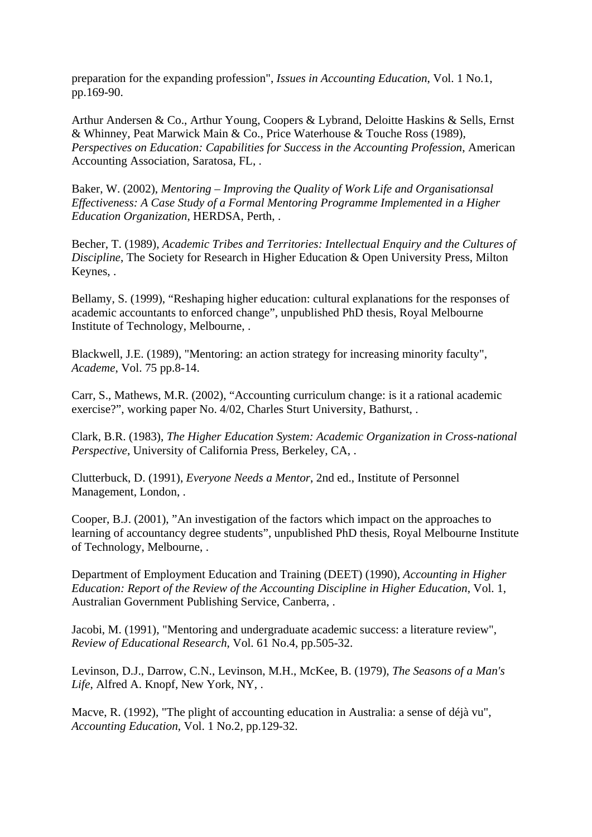preparation for the expanding profession", *Issues in Accounting Education*, Vol. 1 No.1, pp.169-90.

Arthur Andersen & Co., Arthur Young, Coopers & Lybrand, Deloitte Haskins & Sells, Ernst & Whinney, Peat Marwick Main & Co., Price Waterhouse & Touche Ross (1989), *Perspectives on Education: Capabilities for Success in the Accounting Profession*, American Accounting Association, Saratosa, FL, .

Baker, W. (2002), *Mentoring – Improving the Quality of Work Life and Organisationsal Effectiveness: A Case Study of a Formal Mentoring Programme Implemented in a Higher Education Organization*, HERDSA, Perth, .

Becher, T. (1989), *Academic Tribes and Territories: Intellectual Enquiry and the Cultures of Discipline*, The Society for Research in Higher Education & Open University Press, Milton Keynes, .

Bellamy, S. (1999), "Reshaping higher education: cultural explanations for the responses of academic accountants to enforced change", unpublished PhD thesis, Royal Melbourne Institute of Technology, Melbourne, .

Blackwell, J.E. (1989), "Mentoring: an action strategy for increasing minority faculty", *Academe*, Vol. 75 pp.8-14.

Carr, S., Mathews, M.R. (2002), "Accounting curriculum change: is it a rational academic exercise?", working paper No. 4/02, Charles Sturt University, Bathurst, .

Clark, B.R. (1983), *The Higher Education System: Academic Organization in Cross-national Perspective*, University of California Press, Berkeley, CA, .

Clutterbuck, D. (1991), *Everyone Needs a Mentor*, 2nd ed., Institute of Personnel Management, London, .

Cooper, B.J. (2001), "An investigation of the factors which impact on the approaches to learning of accountancy degree students", unpublished PhD thesis, Royal Melbourne Institute of Technology, Melbourne, .

Department of Employment Education and Training (DEET) (1990), *Accounting in Higher Education: Report of the Review of the Accounting Discipline in Higher Education*, Vol. 1, Australian Government Publishing Service, Canberra, .

Jacobi, M. (1991), "Mentoring and undergraduate academic success: a literature review", *Review of Educational Research*, Vol. 61 No.4, pp.505-32.

Levinson, D.J., Darrow, C.N., Levinson, M.H., McKee, B. (1979), *The Seasons of a Man's Life*, Alfred A. Knopf, New York, NY, .

Macve, R. (1992), "The plight of accounting education in Australia: a sense of déjà vu", *Accounting Education*, Vol. 1 No.2, pp.129-32.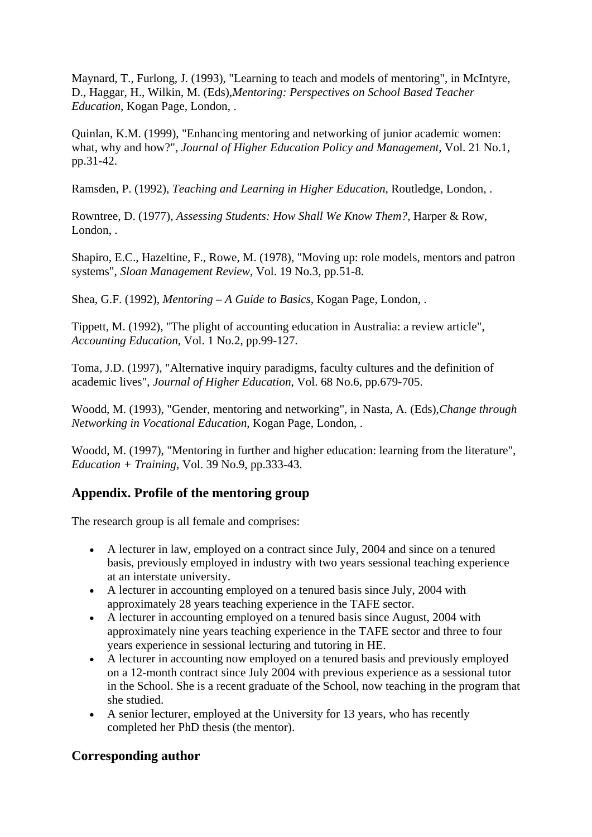Maynard, T., Furlong, J. (1993), "Learning to teach and models of mentoring", in McIntyre, D., Haggar, H., Wilkin, M. (Eds),*Mentoring: Perspectives on School Based Teacher Education*, Kogan Page, London, .

Quinlan, K.M. (1999), "Enhancing mentoring and networking of junior academic women: what, why and how?", *Journal of Higher Education Policy and Management*, Vol. 21 No.1, pp.31-42.

Ramsden, P. (1992), *Teaching and Learning in Higher Education*, Routledge, London, .

Rowntree, D. (1977), *Assessing Students: How Shall We Know Them?*, Harper & Row, London..

Shapiro, E.C., Hazeltine, F., Rowe, M. (1978), "Moving up: role models, mentors and patron systems", *Sloan Management Review*, Vol. 19 No.3, pp.51-8.

Shea, G.F. (1992), *Mentoring – A Guide to Basics*, Kogan Page, London, .

Tippett, M. (1992), "The plight of accounting education in Australia: a review article", *Accounting Education*, Vol. 1 No.2, pp.99-127.

Toma, J.D. (1997), "Alternative inquiry paradigms, faculty cultures and the definition of academic lives", *Journal of Higher Education*, Vol. 68 No.6, pp.679-705.

Woodd, M. (1993), "Gender, mentoring and networking", in Nasta, A. (Eds),*Change through Networking in Vocational Education*, Kogan Page, London, .

Woodd, M. (1997), "Mentoring in further and higher education: learning from the literature", *Education + Training*, Vol. 39 No.9, pp.333-43.

# **Appendix. Profile of the mentoring group**

The research group is all female and comprises:

- A lecturer in law, employed on a contract since July, 2004 and since on a tenured basis, previously employed in industry with two years sessional teaching experience at an interstate university.
- A lecturer in accounting employed on a tenured basis since July, 2004 with approximately 28 years teaching experience in the TAFE sector.
- A lecturer in accounting employed on a tenured basis since August, 2004 with approximately nine years teaching experience in the TAFE sector and three to four years experience in sessional lecturing and tutoring in HE.
- A lecturer in accounting now employed on a tenured basis and previously employed on a 12-month contract since July 2004 with previous experience as a sessional tutor in the School. She is a recent graduate of the School, now teaching in the program that she studied.
- A senior lecturer, employed at the University for 13 years, who has recently completed her PhD thesis (the mentor).

# **Corresponding author**